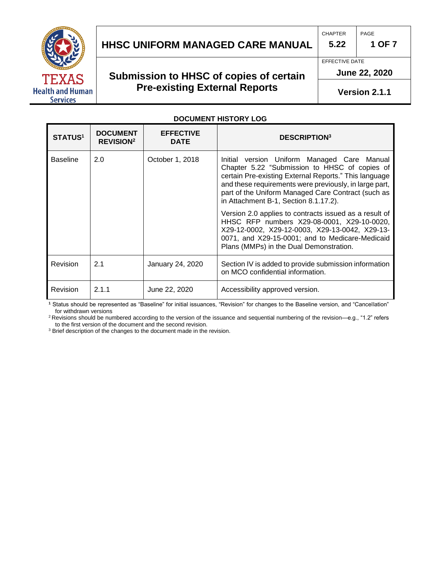

## **HHSC Uniform Managed Care MANUAL HHSC UNIFORM MANAGED CARE MANUAL 1 OF 7**

## **Submission to HHSC of copies of certain Pre-existing External Reports**

**5.22**

EFFECTIVE DATE

CHAPTER

**June 22, 2020** 

**Version 2.1.1**

#### **DOCUMENT HISTORY LOG**

| <b>STATUS1</b>  | <b>DOCUMENT</b><br><b>REVISION<sup>2</sup></b> | <b>EFFECTIVE</b><br><b>DATE</b> | <b>DESCRIPTION3</b>                                                                                                                                                                                                                                                                                            |
|-----------------|------------------------------------------------|---------------------------------|----------------------------------------------------------------------------------------------------------------------------------------------------------------------------------------------------------------------------------------------------------------------------------------------------------------|
| <b>Baseline</b> | 2.0                                            | October 1, 2018                 | Initial version Uniform Managed Care Manual<br>Chapter 5.22 "Submission to HHSC of copies of<br>certain Pre-existing External Reports." This language<br>and these requirements were previously, in large part,<br>part of the Uniform Managed Care Contract (such as<br>in Attachment B-1, Section 8.1.17.2). |
|                 |                                                |                                 | Version 2.0 applies to contracts issued as a result of<br>HHSC RFP numbers X29-08-0001, X29-10-0020,<br>X29-12-0002, X29-12-0003, X29-13-0042, X29-13-<br>0071, and X29-15-0001; and to Medicare-Medicaid<br>Plans (MMPs) in the Dual Demonstration.                                                           |
| Revision        | 2.1                                            | January 24, 2020                | Section IV is added to provide submission information<br>on MCO confidential information.                                                                                                                                                                                                                      |
| Revision        | 2.1.1                                          | June 22, 2020                   | Accessibility approved version.                                                                                                                                                                                                                                                                                |

**<sup>1</sup>** Status should be represented as "Baseline" for initial issuances, "Revision" for changes to the Baseline version, and "Cancellation" for withdrawn versions

<sup>2</sup>Revisions should be numbered according to the version of the issuance and sequential numbering of the revision—e.g., "1.2" refers to the first version of the document and the second revision.

<sup>3</sup> Brief description of the changes to the document made in the revision.

PAGE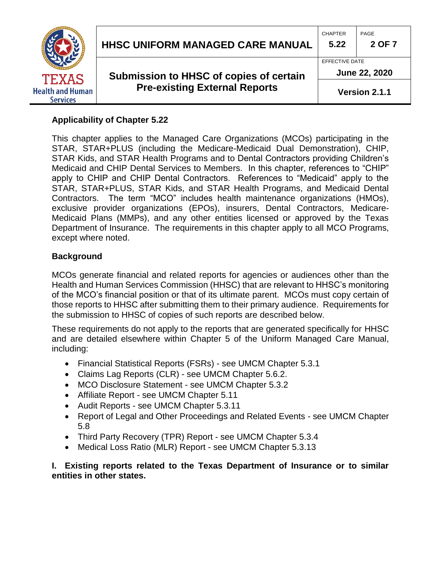

#### **Applicability of Chapter 5.22**

This chapter applies to the Managed Care Organizations (MCOs) participating in the STAR, STAR+PLUS (including the Medicare-Medicaid Dual Demonstration), CHIP, STAR Kids, and STAR Health Programs and to Dental Contractors providing Children's Medicaid and CHIP Dental Services to Members. In this chapter, references to "CHIP" apply to CHIP and CHIP Dental Contractors. References to "Medicaid" apply to the STAR, STAR+PLUS, STAR Kids, and STAR Health Programs, and Medicaid Dental Contractors. The term "MCO" includes health maintenance organizations (HMOs), exclusive provider organizations (EPOs), insurers, Dental Contractors, Medicare-Medicaid Plans (MMPs), and any other entities licensed or approved by the Texas Department of Insurance. The requirements in this chapter apply to all MCO Programs, except where noted.

#### **Background**

MCOs generate financial and related reports for agencies or audiences other than the Health and Human Services Commission (HHSC) that are relevant to HHSC's monitoring of the MCO's financial position or that of its ultimate parent. MCOs must copy certain of those reports to HHSC after submitting them to their primary audience. Requirements for the submission to HHSC of copies of such reports are described below.

These requirements do not apply to the reports that are generated specifically for HHSC and are detailed elsewhere within Chapter 5 of the Uniform Managed Care Manual, including:

- Financial Statistical Reports (FSRs) see UMCM Chapter 5.3.1
- Claims Lag Reports (CLR) see UMCM Chapter 5.6.2.
- MCO Disclosure Statement see UMCM Chapter 5.3.2
- Affiliate Report see UMCM Chapter 5.11
- Audit Reports see UMCM Chapter 5.3.11
- Report of Legal and Other Proceedings and Related Events see UMCM Chapter 5.8
- Third Party Recovery (TPR) Report see UMCM Chapter 5.3.4
- Medical Loss Ratio (MLR) Report see UMCM Chapter 5.3.13

**I. Existing reports related to the Texas Department of Insurance or to similar entities in other states.**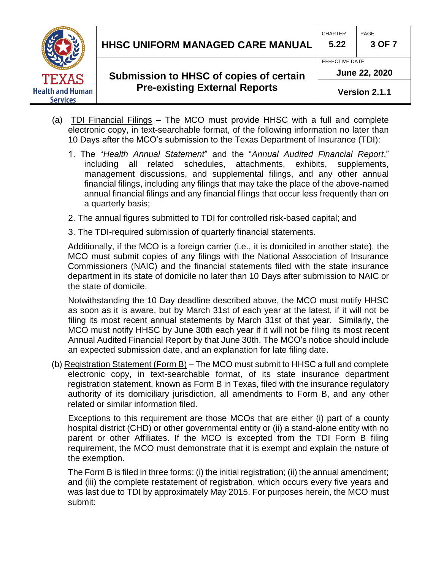

# **HHSC Uniform Managed Care MANUAL HHSC UNIFORM MANAGED CARE MANUAL 5.22 3 OF 7**

## **Submission to HHSC of copies of certain Pre-existing External Reports**

EFFECTIVE DATE

CHAPTER **PAGE** 

**June 22, 2020**

**Version 2.1.1**

- (a) TDI Financial Filings The MCO must provide HHSC with a full and complete electronic copy, in text-searchable format, of the following information no later than 10 Days after the MCO's submission to the Texas Department of Insurance (TDI):
	- 1. The "*Health Annual Statement*" and the "*Annual Audited Financial Report*," including all related schedules, attachments, exhibits, supplements, management discussions, and supplemental filings, and any other annual financial filings, including any filings that may take the place of the above-named annual financial filings and any financial filings that occur less frequently than on a quarterly basis;
	- 2. The annual figures submitted to TDI for controlled risk-based capital; and
	- 3. The TDI-required submission of quarterly financial statements.

Additionally, if the MCO is a foreign carrier (i.e., it is domiciled in another state), the MCO must submit copies of any filings with the National Association of Insurance Commissioners (NAIC) and the financial statements filed with the state insurance department in its state of domicile no later than 10 Days after submission to NAIC or the state of domicile.

Notwithstanding the 10 Day deadline described above, the MCO must notify HHSC as soon as it is aware, but by March 31st of each year at the latest, if it will not be filing its most recent annual statements by March 31st of that year. Similarly, the MCO must notify HHSC by June 30th each year if it will not be filing its most recent Annual Audited Financial Report by that June 30th. The MCO's notice should include an expected submission date, and an explanation for late filing date.

(b) Registration Statement (Form B) – The MCO must submit to HHSC a full and complete electronic copy, in text-searchable format, of its state insurance department registration statement, known as Form B in Texas, filed with the insurance regulatory authority of its domiciliary jurisdiction, all amendments to Form B, and any other related or similar information filed.

Exceptions to this requirement are those MCOs that are either (i) part of a county hospital district (CHD) or other governmental entity or (ii) a stand-alone entity with no parent or other Affiliates. If the MCO is excepted from the TDI Form B filing requirement, the MCO must demonstrate that it is exempt and explain the nature of the exemption.

The Form B is filed in three forms: (i) the initial registration; (ii) the annual amendment; and (iii) the complete restatement of registration, which occurs every five years and was last due to TDI by approximately May 2015. For purposes herein, the MCO must submit: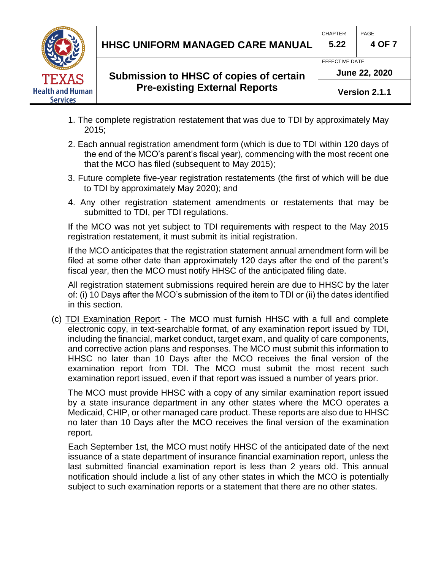

## **HHSC Uniform Managed Care MANUAL HHSC UNIFORM MANAGED CARE MANUAL 5.22 4 OF 7**

## **Submission to HHSC of copies of certain Pre-existing External Reports**

CHAPTER | PAGE

EFFECTIVE DATE

**June 22, 2020**

**Version 2.1.1**

- 1. The complete registration restatement that was due to TDI by approximately May 2015;
- 2. Each annual registration amendment form (which is due to TDI within 120 days of the end of the MCO's parent's fiscal year), commencing with the most recent one that the MCO has filed (subsequent to May 2015);
- 3. Future complete five-year registration restatements (the first of which will be due to TDI by approximately May 2020); and
- 4. Any other registration statement amendments or restatements that may be submitted to TDI, per TDI regulations.

If the MCO was not yet subject to TDI requirements with respect to the May 2015 registration restatement, it must submit its initial registration.

If the MCO anticipates that the registration statement annual amendment form will be filed at some other date than approximately 120 days after the end of the parent's fiscal year, then the MCO must notify HHSC of the anticipated filing date.

All registration statement submissions required herein are due to HHSC by the later of: (i) 10 Days after the MCO's submission of the item to TDI or (ii) the dates identified in this section.

(c) TDI Examination Report - The MCO must furnish HHSC with a full and complete electronic copy, in text-searchable format, of any examination report issued by TDI, including the financial, market conduct, target exam, and quality of care components, and corrective action plans and responses. The MCO must submit this information to HHSC no later than 10 Days after the MCO receives the final version of the examination report from TDI. The MCO must submit the most recent such examination report issued, even if that report was issued a number of years prior.

The MCO must provide HHSC with a copy of any similar examination report issued by a state insurance department in any other states where the MCO operates a Medicaid, CHIP, or other managed care product. These reports are also due to HHSC no later than 10 Days after the MCO receives the final version of the examination report.

Each September 1st, the MCO must notify HHSC of the anticipated date of the next issuance of a state department of insurance financial examination report, unless the last submitted financial examination report is less than 2 years old. This annual notification should include a list of any other states in which the MCO is potentially subject to such examination reports or a statement that there are no other states.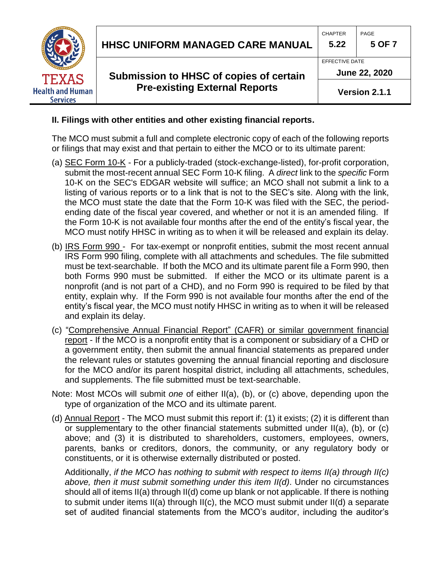

## **II. Filings with other entities and other existing financial reports.**

The MCO must submit a full and complete electronic copy of each of the following reports or filings that may exist and that pertain to either the MCO or to its ultimate parent:

- (a) SEC Form 10-K For a publicly-traded (stock-exchange-listed), for-profit corporation, submit the most-recent annual SEC Form 10-K filing. A *direct* link to the *specific* Form 10-K on the SEC's EDGAR website will suffice; an MCO shall not submit a link to a listing of various reports or to a link that is not to the SEC's site. Along with the link, the MCO must state the date that the Form 10-K was filed with the SEC, the periodending date of the fiscal year covered, and whether or not it is an amended filing. If the Form 10-K is not available four months after the end of the entity's fiscal year, the MCO must notify HHSC in writing as to when it will be released and explain its delay.
- (b) IRS Form 990 For tax-exempt or nonprofit entities, submit the most recent annual IRS Form 990 filing, complete with all attachments and schedules. The file submitted must be text-searchable. If both the MCO and its ultimate parent file a Form 990, then both Forms 990 must be submitted. If either the MCO or its ultimate parent is a nonprofit (and is not part of a CHD), and no Form 990 is required to be filed by that entity, explain why. If the Form 990 is not available four months after the end of the entity's fiscal year, the MCO must notify HHSC in writing as to when it will be released and explain its delay.
- (c) "Comprehensive Annual Financial Report" (CAFR) or similar government financial report - If the MCO is a nonprofit entity that is a component or subsidiary of a CHD or a government entity, then submit the annual financial statements as prepared under the relevant rules or statutes governing the annual financial reporting and disclosure for the MCO and/or its parent hospital district, including all attachments, schedules, and supplements. The file submitted must be text-searchable.
- Note: Most MCOs will submit *one* of either II(a), (b), or (c) above, depending upon the type of organization of the MCO and its ultimate parent.
- (d) Annual Report The MCO must submit this report if: (1) it exists; (2) it is different than or supplementary to the other financial statements submitted under II(a), (b), or (c) above; and (3) it is distributed to shareholders, customers, employees, owners, parents, banks or creditors, donors, the community, or any regulatory body or constituents, or it is otherwise externally distributed or posted.

Additionally, *if the MCO has nothing to submit with respect to items II(a) through II(c) above, then it must submit something under this item II(d)*. Under no circumstances should all of items II(a) through II(d) come up blank or not applicable. If there is nothing to submit under items II(a) through II(c), the MCO must submit under II(d) a separate set of audited financial statements from the MCO's auditor, including the auditor's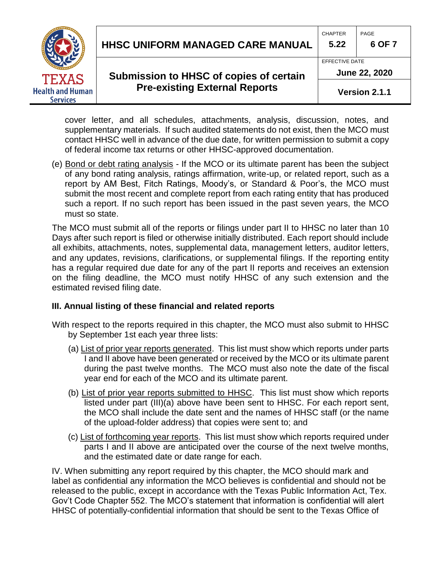**Health and Human Services** 

## **HHSC Uniform Managed Care MANUAL HHSC UNIFORM MANAGED CARE MANUAL 5.22 6 OF 7**

### **Submission to HHSC of copies of certain Pre-existing External Reports**

EFFECTIVE DATE

CHAPTER **PAGE** 

**June 22, 2020**

**Version 2.1.1**

cover letter, and all schedules, attachments, analysis, discussion, notes, and supplementary materials. If such audited statements do not exist, then the MCO must contact HHSC well in advance of the due date, for written permission to submit a copy of federal income tax returns or other HHSC-approved documentation.

(e) Bond or debt rating analysis - If the MCO or its ultimate parent has been the subject of any bond rating analysis, ratings affirmation, write-up, or related report, such as a report by AM Best, Fitch Ratings, Moody's, or Standard & Poor's, the MCO must submit the most recent and complete report from each rating entity that has produced such a report. If no such report has been issued in the past seven years, the MCO must so state.

The MCO must submit all of the reports or filings under part II to HHSC no later than 10 Days after such report is filed or otherwise initially distributed. Each report should include all exhibits, attachments, notes, supplemental data, management letters, auditor letters, and any updates, revisions, clarifications, or supplemental filings. If the reporting entity has a regular required due date for any of the part II reports and receives an extension on the filing deadline, the MCO must notify HHSC of any such extension and the estimated revised filing date.

#### **III. Annual listing of these financial and related reports**

With respect to the reports required in this chapter, the MCO must also submit to HHSC by September 1st each year three lists:

- (a) List of prior year reports generated. This list must show which reports under parts I and II above have been generated or received by the MCO or its ultimate parent during the past twelve months. The MCO must also note the date of the fiscal year end for each of the MCO and its ultimate parent.
- (b) List of prior year reports submitted to HHSC. This list must show which reports listed under part (III)(a) above have been sent to HHSC. For each report sent, the MCO shall include the date sent and the names of HHSC staff (or the name of the upload-folder address) that copies were sent to; and
- (c) List of forthcoming year reports. This list must show which reports required under parts I and II above are anticipated over the course of the next twelve months, and the estimated date or date range for each.

IV. When submitting any report required by this chapter, the MCO should mark and label as confidential any information the MCO believes is confidential and should not be released to the public, except in accordance with the Texas Public Information Act, Tex. Gov't Code Chapter 552. The MCO's statement that information is confidential will alert HHSC of potentially-confidential information that should be sent to the Texas Office of